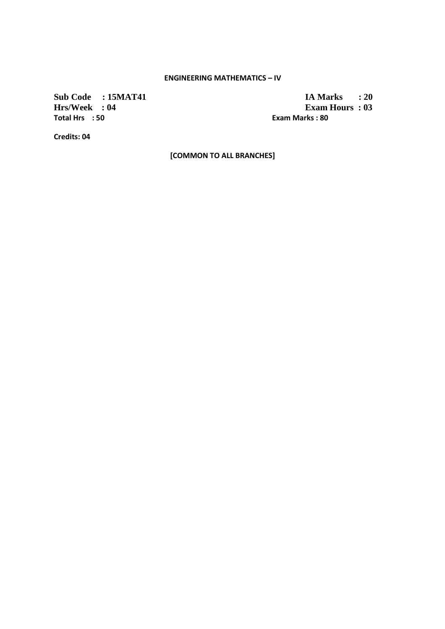### **ENGINEERING MATHEMATICS – IV**

**Total Hrs : 50 Exam Marks : 80** 

**Sub Code : 15MAT41 IA Marks : 20**<br>**Hrs/Week : 04 Exam Hours : 03 Exam Hours : 03** 

**Credits: 04** 

**[COMMON TO ALL BRANCHES]**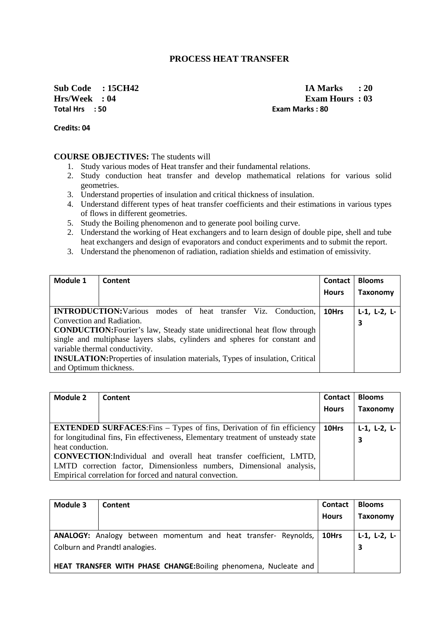## **PROCESS HEAT TRANSFER**

**Total Hrs : 50 Exam Marks : 80** 

**Sub Code : 15CH42 IA Marks : 20 Hrs/Week : 04 Exam Hours : 03** 

**Credits: 04** 

#### **COURSE OBJECTIVES:** The students will

- 1. Study various modes of Heat transfer and their fundamental relations.
- 2. Study conduction heat transfer and develop mathematical relations for various solid geometries.
- 3. Understand properties of insulation and critical thickness of insulation.
- 4. Understand different types of heat transfer coefficients and their estimations in various types of flows in different geometries.
- 5. Study the Boiling phenomenon and to generate pool boiling curve.
- 2. Understand the working of Heat exchangers and to learn design of double pipe, shell and tube heat exchangers and design of evaporators and conduct experiments and to submit the report.
- 3. Understand the phenomenon of radiation, radiation shields and estimation of emissivity.

| Module 1                                                                             | Content                                                                    | Contact      | <b>Blooms</b>        |
|--------------------------------------------------------------------------------------|----------------------------------------------------------------------------|--------------|----------------------|
|                                                                                      |                                                                            | <b>Hours</b> | <b>Taxonomy</b>      |
|                                                                                      |                                                                            |              |                      |
|                                                                                      | <b>INTRODUCTION:</b> Various modes of heat transfer Viz. Conduction,       | 10Hrs        | $L-1$ , $L-2$ , $L-$ |
| Convection and Radiation.                                                            |                                                                            |              | 3                    |
| <b>CONDUCTION:</b> Fourier's law, Steady state unidirectional heat flow through      |                                                                            |              |                      |
|                                                                                      | single and multiphase layers slabs, cylinders and spheres for constant and |              |                      |
|                                                                                      | variable thermal conductivity.                                             |              |                      |
| <b>INSULATION:</b> Properties of insulation materials, Types of insulation, Critical |                                                                            |              |                      |
| and Optimum thickness.                                                               |                                                                            |              |                      |

| <b>Module 2</b>  | Content                                                                          | Contact      | <b>Blooms</b>        |
|------------------|----------------------------------------------------------------------------------|--------------|----------------------|
|                  |                                                                                  | <b>Hours</b> | <b>Taxonomy</b>      |
|                  |                                                                                  |              |                      |
|                  | <b>EXTENDED SURFACES:</b> Fins – Types of fins, Derivation of fin efficiency     | 10Hrs        | $L-1$ , $L-2$ , $L-$ |
|                  | for longitudinal fins, Fin effectiveness, Elementary treatment of unsteady state |              | 3                    |
| heat conduction. |                                                                                  |              |                      |
|                  | <b>CONVECTION:</b> Individual and overall heat transfer coefficient, LMTD,       |              |                      |
|                  | LMTD correction factor, Dimensionless numbers, Dimensional analysis,             |              |                      |
|                  | Empirical correlation for forced and natural convection.                         |              |                      |

| Module 3 | Content                                                          | <b>Contact</b><br><b>Hours</b> | <b>Blooms</b><br>Taxonomy |
|----------|------------------------------------------------------------------|--------------------------------|---------------------------|
|          | ANALOGY: Analogy between momentum and heat transfer- Reynolds,   | l 10Hrs                        | L-1, L-2, L-              |
|          | Colburn and Prandtl analogies.                                   |                                |                           |
|          | HEAT TRANSFER WITH PHASE CHANGE: Boiling phenomena, Nucleate and |                                |                           |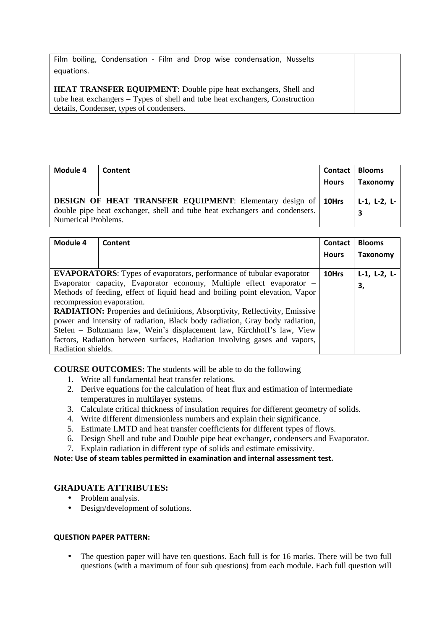| Film boiling, Condensation - Film and Drop wise condensation, Nusselts       |  |
|------------------------------------------------------------------------------|--|
| equations.                                                                   |  |
|                                                                              |  |
| <b>HEAT TRANSFER EQUIPMENT:</b> Double pipe heat exchangers, Shell and       |  |
| tube heat exchangers – Types of shell and tube heat exchangers, Construction |  |
| details, Condenser, types of condensers.                                     |  |

| Module 4            | Content                                                                                                                                              | Contact<br><b>Hours</b> | <b>Blooms</b><br><b>Taxonomy</b> |
|---------------------|------------------------------------------------------------------------------------------------------------------------------------------------------|-------------------------|----------------------------------|
| Numerical Problems. | <b>DESIGN OF HEAT TRANSFER EQUIPMENT:</b> Elementary design of   10Hrs<br>double pipe heat exchanger, shell and tube heat exchangers and condensers. |                         | $L-1$ , $L-2$ , $L-$             |

| Module 4           | Content                                                                            | <b>Contact</b> | <b>Blooms</b>        |
|--------------------|------------------------------------------------------------------------------------|----------------|----------------------|
|                    |                                                                                    | <b>Hours</b>   | <b>Taxonomy</b>      |
|                    |                                                                                    |                |                      |
|                    | <b>EVAPORATORS:</b> Types of evaporators, performance of tubular evaporator –      | 10Hrs          | $L-1$ , $L-2$ , $L-$ |
|                    | Evaporator capacity, Evaporator economy, Multiple effect evaporator -              |                | 3,                   |
|                    | Methods of feeding, effect of liquid head and boiling point elevation, Vapor       |                |                      |
|                    | recompression evaporation.                                                         |                |                      |
|                    | <b>RADIATION:</b> Properties and definitions, Absorptivity, Reflectivity, Emissive |                |                      |
|                    | power and intensity of radiation, Black body radiation, Gray body radiation,       |                |                      |
|                    | Stefen – Boltzmann law, Wein's displacement law, Kirchhoff's law, View             |                |                      |
|                    | factors, Radiation between surfaces, Radiation involving gases and vapors,         |                |                      |
| Radiation shields. |                                                                                    |                |                      |

**COURSE OUTCOMES:** The students will be able to do the following

- 1. Write all fundamental heat transfer relations.
- 2. Derive equations for the calculation of heat flux and estimation of intermediate temperatures in multilayer systems.
- 3. Calculate critical thickness of insulation requires for different geometry of solids.
- 4. Write different dimensionless numbers and explain their significance.
- 5. Estimate LMTD and heat transfer coefficients for different types of flows.
- 6. Design Shell and tube and Double pipe heat exchanger, condensers and Evaporator.
- 7. Explain radiation in different type of solids and estimate emissivity.

**Note: Use of steam tables permitted in examination and internal assessment test.** 

### **GRADUATE ATTRIBUTES:**

- Problem analysis.
- Design/development of solutions.

#### **QUESTION PAPER PATTERN:**

• The question paper will have ten questions. Each full is for 16 marks. There will be two full questions (with a maximum of four sub questions) from each module. Each full question will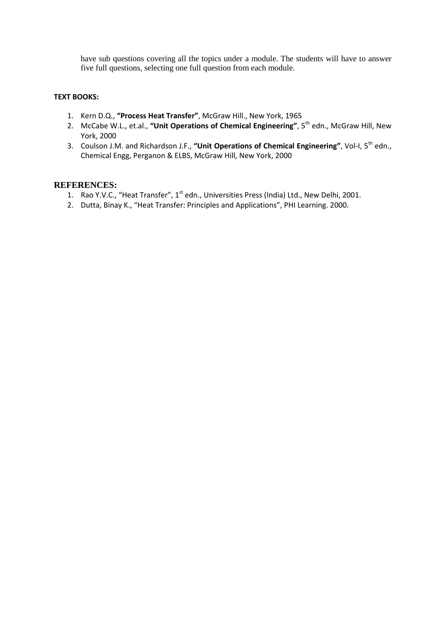have sub questions covering all the topics under a module. The students will have to answer five full questions, selecting one full question from each module.

### **TEXT BOOKS:**

- 1. Kern D.Q., **"Process Heat Transfer"**, McGraw Hill., New York, 1965
- 2. McCabe W.L., et.al., "Unit Operations of Chemical Engineering", 5<sup>th</sup> edn., McGraw Hill, New York, 2000
- 3. Coulson J.M. and Richardson J.F., **"Unit Operations of Chemical Engineering"**, Vol-I, 5th edn., Chemical Engg, Perganon & ELBS, McGraw Hill, New York, 2000

### **REFERENCES:**

- 1. Rao Y.V.C., "Heat Transfer", 1<sup>st</sup> edn., Universities Press (India) Ltd., New Delhi, 2001.
- 2. Dutta, Binay K., "Heat Transfer: Principles and Applications", PHI Learning. 2000.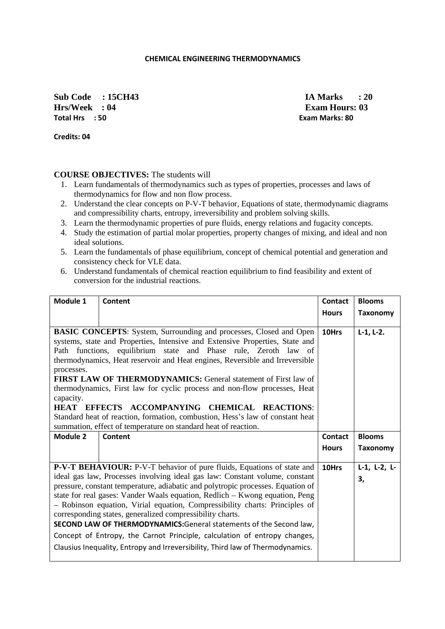#### **CHEMICAL ENGINEERING THERMODYNAMICS**

**Sub Code : 15CH43 IA Marks : 20 Hrs/Week : 04 <b>Exam Hours: 03 Total Hrs : 50 Exam Marks: 80** 

**Credits: 04** 

### **COURSE OBJECTIVES:** The students will

- 1. Learn fundamentals of thermodynamics such as types of properties, processes and laws of thermodynamics for flow and non flow process.
- 2. Understand the clear concepts on P-V-T behavior, Equations of state, thermodynamic diagrams and compressibility charts, entropy, irreversibility and problem solving skills.
- 3. Learn the thermodynamic properties of pure fluids, energy relations and fugacity concepts.
- 4. Study the estimation of partial molar properties, property changes of mixing, and ideal and non ideal solutions.
- 5. Learn the fundamentals of phase equilibrium, concept of chemical potential and generation and consistency check for VLE data.
- 6. Understand fundamentals of chemical reaction equilibrium to find feasibility and extent of conversion for the industrial reactions.

| Module 1                                                                                                                                                                                                                                                                                                                                                                                                                                                                                                                                                                                                                                                                                                 | Content | <b>Contact</b> | <b>Blooms</b>              |
|----------------------------------------------------------------------------------------------------------------------------------------------------------------------------------------------------------------------------------------------------------------------------------------------------------------------------------------------------------------------------------------------------------------------------------------------------------------------------------------------------------------------------------------------------------------------------------------------------------------------------------------------------------------------------------------------------------|---------|----------------|----------------------------|
|                                                                                                                                                                                                                                                                                                                                                                                                                                                                                                                                                                                                                                                                                                          |         | <b>Hours</b>   | <b>Taxonomy</b>            |
| BASIC CONCEPTS: System, Surrounding and processes, Closed and Open<br>systems, state and Properties, Intensive and Extensive Properties, State and<br>Path functions, equilibrium state and Phase rule, Zeroth law of<br>thermodynamics, Heat reservoir and Heat engines, Reversible and Irreversible<br>processes.<br><b>FIRST LAW OF THERMODYNAMICS:</b> General statement of First law of<br>thermodynamics, First law for cyclic process and non-flow processes, Heat<br>capacity.<br>HEAT EFFECTS ACCOMPANYING CHEMICAL REACTIONS:<br>Standard heat of reaction, formation, combustion, Hess's law of constant heat<br>summation, effect of temperature on standard heat of reaction.               |         | 10Hrs          | $L-1, L-2.$                |
| Module 2                                                                                                                                                                                                                                                                                                                                                                                                                                                                                                                                                                                                                                                                                                 | Content | <b>Contact</b> | <b>Blooms</b>              |
|                                                                                                                                                                                                                                                                                                                                                                                                                                                                                                                                                                                                                                                                                                          |         | <b>Hours</b>   | <b>Taxonomy</b>            |
| P-V-T BEHAVIOUR: P-V-T behavior of pure fluids, Equations of state and<br>ideal gas law, Processes involving ideal gas law: Constant volume, constant<br>pressure, constant temperature, adiabatic and polytropic processes. Equation of<br>state for real gases: Vander Waals equation, Redlich - Kwong equation, Peng<br>- Robinson equation, Virial equation, Compressibility charts: Principles of<br>corresponding states, generalized compressibility charts.<br>SECOND LAW OF THERMODYNAMICS:General statements of the Second law,<br>Concept of Entropy, the Carnot Principle, calculation of entropy changes,<br>Clausius Inequality, Entropy and Irreversibility, Third law of Thermodynamics. |         | 10Hrs          | $L-1$ , $L-2$ , $L-$<br>3, |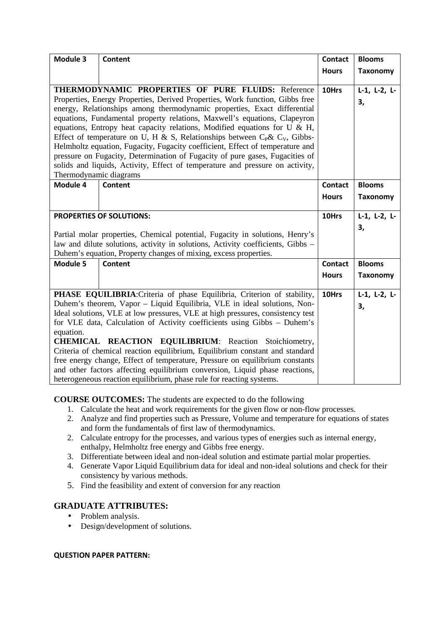| Module 3                                                                                                                                                                                                                                                                                                                                                                                                                                                                                                                                                                                                                                                                                                               | <b>Content</b> | <b>Contact</b><br><b>Hours</b> | <b>Blooms</b><br><b>Taxonomy</b> |
|------------------------------------------------------------------------------------------------------------------------------------------------------------------------------------------------------------------------------------------------------------------------------------------------------------------------------------------------------------------------------------------------------------------------------------------------------------------------------------------------------------------------------------------------------------------------------------------------------------------------------------------------------------------------------------------------------------------------|----------------|--------------------------------|----------------------------------|
| THERMODYNAMIC PROPERTIES OF PURE FLUIDS: Reference<br>Properties, Energy Properties, Derived Properties, Work function, Gibbs free<br>energy, Relationships among thermodynamic properties, Exact differential<br>equations, Fundamental property relations, Maxwell's equations, Clapeyron<br>equations, Entropy heat capacity relations, Modified equations for U & H,<br>Effect of temperature on U, H & S, Relationships between $C_P$ & $C_V$ , Gibbs-<br>Helmholtz equation, Fugacity, Fugacity coefficient, Effect of temperature and<br>pressure on Fugacity, Determination of Fugacity of pure gases, Fugacities of<br>solids and liquids, Activity, Effect of temperature and pressure on activity,          |                | 10Hrs                          | $L-1$ , $L-2$ , $L-$<br>3,       |
| Thermodynamic diagrams<br>Module 4                                                                                                                                                                                                                                                                                                                                                                                                                                                                                                                                                                                                                                                                                     | Content        | <b>Contact</b>                 | <b>Blooms</b>                    |
|                                                                                                                                                                                                                                                                                                                                                                                                                                                                                                                                                                                                                                                                                                                        |                | <b>Hours</b>                   | <b>Taxonomy</b>                  |
| <b>PROPERTIES OF SOLUTIONS:</b>                                                                                                                                                                                                                                                                                                                                                                                                                                                                                                                                                                                                                                                                                        |                | 10Hrs                          | $L-1$ , $L-2$ , $L-$             |
| Partial molar properties, Chemical potential, Fugacity in solutions, Henry's<br>law and dilute solutions, activity in solutions, Activity coefficients, Gibbs -<br>Duhem's equation, Property changes of mixing, excess properties.                                                                                                                                                                                                                                                                                                                                                                                                                                                                                    |                |                                | 3,                               |
| Module 5                                                                                                                                                                                                                                                                                                                                                                                                                                                                                                                                                                                                                                                                                                               | <b>Content</b> | <b>Contact</b>                 | <b>Blooms</b>                    |
|                                                                                                                                                                                                                                                                                                                                                                                                                                                                                                                                                                                                                                                                                                                        |                | <b>Hours</b>                   | <b>Taxonomy</b>                  |
| PHASE EQUILIBRIA: Criteria of phase Equilibria, Criterion of stability,<br>Duhem's theorem, Vapor - Liquid Equilibria, VLE in ideal solutions, Non-<br>Ideal solutions, VLE at low pressures, VLE at high pressures, consistency test<br>for VLE data, Calculation of Activity coefficients using Gibbs - Duhem's<br>equation.<br><b>CHEMICAL REACTION EQUILIBRIUM:</b> Reaction Stoichiometry,<br>Criteria of chemical reaction equilibrium, Equilibrium constant and standard<br>free energy change, Effect of temperature, Pressure on equilibrium constants<br>and other factors affecting equilibrium conversion, Liquid phase reactions,<br>heterogeneous reaction equilibrium, phase rule for reacting systems. |                | 10Hrs                          | $L-1$ , $L-2$ , $L-$<br>3,       |

### **COURSE OUTCOMES:** The students are expected to do the following

- 1. Calculate the heat and work requirements for the given flow or non-flow processes.
- 2. Analyze and find properties such as Pressure, Volume and temperature for equations of states and form the fundamentals of first law of thermodynamics.
- 2. Calculate entropy for the processes, and various types of energies such as internal energy, enthalpy, Helmholtz free energy and Gibbs free energy.
- 3. Differentiate between ideal and non-ideal solution and estimate partial molar properties.
- 4. Generate Vapor Liquid Equilibrium data for ideal and non-ideal solutions and check for their consistency by various methods.
- 5. Find the feasibility and extent of conversion for any reaction

### **GRADUATE ATTRIBUTES:**

- Problem analysis.
- Design/development of solutions.

#### **QUESTION PAPER PATTERN:**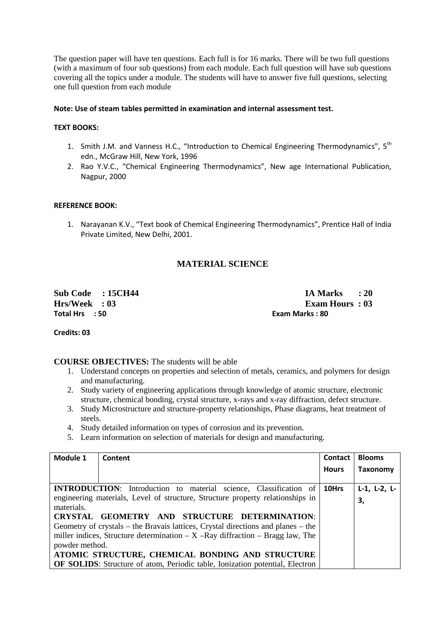The question paper will have ten questions. Each full is for 16 marks. There will be two full questions (with a maximum of four sub questions) from each module. Each full question will have sub questions covering all the topics under a module. The students will have to answer five full questions, selecting one full question from each module

#### **Note: Use of steam tables permitted in examination and internal assessment test.**

### **TEXT BOOKS:**

- 1. Smith J.M. and Vanness H.C., "Introduction to Chemical Engineering Thermodynamics", 5<sup>th</sup> edn., McGraw Hill, New York, 1996
- 2. Rao Y.V.C., "Chemical Engineering Thermodynamics", New age International Publication, Nagpur, 2000

#### **REFERENCE BOOK:**

1. Narayanan K.V., "Text book of Chemical Engineering Thermodynamics", Prentice Hall of India Private Limited, New Delhi, 2001.

# **MATERIAL SCIENCE**

**Total Hrs : 50 Exam Marks : 80** 

**Sub Code : 15CH44 IA Marks : 20 Hrs/Week : 03 Exam Hours : 03** 

**Credits: 03** 

#### **COURSE OBJECTIVES:** The students will be able

- 1. Understand concepts on properties and selection of metals, ceramics, and polymers for design and manufacturing.
- 2. Study variety of engineering applications through knowledge of atomic structure, electronic structure, chemical bonding, crystal structure, x-rays and x-ray diffraction, defect structure.
- 3. Study Microstructure and structure-property relationships, Phase diagrams, heat treatment of steels.
- 4. Study detailed information on types of corrosion and its prevention.
- 5. Learn information on selection of materials for design and manufacturing.

| Module 1                                                                                                                                                                                                                                                | Content                                                                                                                                                    | Contact      | <b>Blooms</b>              |
|---------------------------------------------------------------------------------------------------------------------------------------------------------------------------------------------------------------------------------------------------------|------------------------------------------------------------------------------------------------------------------------------------------------------------|--------------|----------------------------|
|                                                                                                                                                                                                                                                         |                                                                                                                                                            | <b>Hours</b> | Taxonomy                   |
|                                                                                                                                                                                                                                                         | <b>INTRODUCTION:</b> Introduction to material science, Classification of<br>engineering materials, Level of structure, Structure property relationships in | 10Hrs        | $L-1$ , $L-2$ , $L-$<br>3, |
| materials.<br>CRYSTAL GEOMETRY AND STRUCTURE DETERMINATION:<br>Geometry of crystals – the Bravais lattices, Crystal directions and planes – the<br>miller indices, Structure determination $- X - Ray$ diffraction $-$ Bragg law, The<br>powder method. |                                                                                                                                                            |              |                            |
|                                                                                                                                                                                                                                                         | ATOMIC STRUCTURE, CHEMICAL BONDING AND STRUCTURE<br><b>OF SOLIDS:</b> Structure of atom, Periodic table, Ionization potential, Electron                    |              |                            |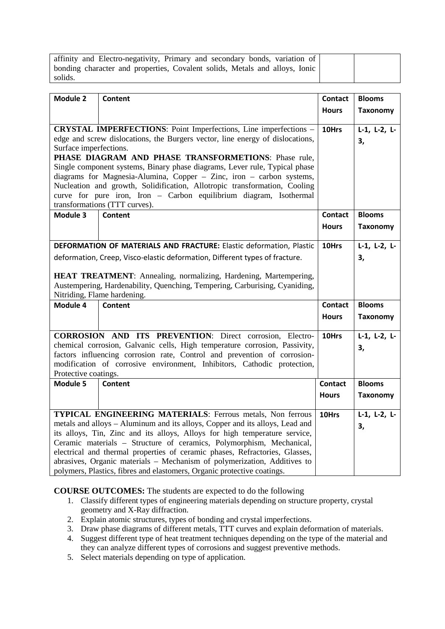| affinity and Electro-negativity, Primary and secondary bonds, variation of  |  |
|-----------------------------------------------------------------------------|--|
| bonding character and properties, Covalent solids, Metals and alloys, Ionic |  |
| solids.                                                                     |  |

| <b>Module 2</b>                                    | Content                                                                                                                            | <b>Contact</b><br><b>Hours</b> | <b>Blooms</b><br><b>Taxonomy</b> |
|----------------------------------------------------|------------------------------------------------------------------------------------------------------------------------------------|--------------------------------|----------------------------------|
|                                                    |                                                                                                                                    |                                |                                  |
|                                                    | <b>CRYSTAL IMPERFECTIONS:</b> Point Imperfections, Line imperfections -                                                            | 10Hrs                          | $L-1$ , $L-2$ , $L-$             |
|                                                    | edge and screw dislocations, the Burgers vector, line energy of dislocations,                                                      |                                | 3,                               |
| Surface imperfections.                             |                                                                                                                                    |                                |                                  |
|                                                    | PHASE DIAGRAM AND PHASE TRANSFORMETIONS: Phase rule,<br>Single component systems, Binary phase diagrams, Lever rule, Typical phase |                                |                                  |
|                                                    | diagrams for Magnesia-Alumina, Copper - Zinc, iron - carbon systems,                                                               |                                |                                  |
|                                                    | Nucleation and growth, Solidification, Allotropic transformation, Cooling                                                          |                                |                                  |
|                                                    | curve for pure iron, Iron - Carbon equilibrium diagram, Isothermal                                                                 |                                |                                  |
|                                                    | transformations (TTT curves).                                                                                                      |                                |                                  |
| Module 3                                           | <b>Content</b>                                                                                                                     | Contact                        | <b>Blooms</b>                    |
|                                                    |                                                                                                                                    | <b>Hours</b>                   | <b>Taxonomy</b>                  |
|                                                    |                                                                                                                                    |                                |                                  |
|                                                    | DEFORMATION OF MATERIALS AND FRACTURE: Elastic deformation, Plastic                                                                | 10Hrs                          | $L-1$ , $L-2$ , $L-$             |
|                                                    | deformation, Creep, Visco-elastic deformation, Different types of fracture.                                                        |                                | 3,                               |
|                                                    |                                                                                                                                    |                                |                                  |
|                                                    | HEAT TREATMENT: Annealing, normalizing, Hardening, Martempering,                                                                   |                                |                                  |
|                                                    | Austempering, Hardenability, Quenching, Tempering, Carburising, Cyaniding,                                                         |                                |                                  |
| Nitriding, Flame hardening.<br>Module 4<br>Content |                                                                                                                                    | <b>Contact</b>                 | <b>Blooms</b>                    |
|                                                    |                                                                                                                                    |                                |                                  |
|                                                    |                                                                                                                                    | <b>Hours</b>                   | <b>Taxonomy</b>                  |
|                                                    | <b>CORROSION AND ITS PREVENTION:</b> Direct corrosion, Electro-                                                                    | 10Hrs                          | $L-1$ , $L-2$ , $L-$             |
|                                                    | chemical corrosion, Galvanic cells, High temperature corrosion, Passivity,                                                         |                                | 3,                               |
|                                                    | factors influencing corrosion rate, Control and prevention of corrosion-                                                           |                                |                                  |
|                                                    | modification of corrosive environment, Inhibitors, Cathodic protection,                                                            |                                |                                  |
| Protective coatings.                               |                                                                                                                                    |                                |                                  |
| Module 5                                           | <b>Content</b>                                                                                                                     | <b>Contact</b>                 | <b>Blooms</b>                    |
|                                                    |                                                                                                                                    | <b>Hours</b>                   | <b>Taxonomy</b>                  |
|                                                    |                                                                                                                                    |                                |                                  |
|                                                    | <b>TYPICAL ENGINEERING MATERIALS:</b> Ferrous metals, Non ferrous                                                                  | 10Hrs                          | $L-1$ , $L-2$ , $L-$             |
|                                                    | metals and alloys - Aluminum and its alloys, Copper and its alloys, Lead and                                                       |                                | 3,                               |
|                                                    | its alloys, Tin, Zinc and its alloys, Alloys for high temperature service,                                                         |                                |                                  |
|                                                    | Ceramic materials - Structure of ceramics, Polymorphism, Mechanical,                                                               |                                |                                  |
|                                                    | electrical and thermal properties of ceramic phases, Refractories, Glasses,                                                        |                                |                                  |
|                                                    | abrasives, Organic materials - Mechanism of polymerization, Additives to                                                           |                                |                                  |
|                                                    | polymers, Plastics, fibres and elastomers, Organic protective coatings.                                                            |                                |                                  |

**COURSE OUTCOMES:** The students are expected to do the following

- 1. Classify different types of engineering materials depending on structure property, crystal geometry and X-Ray diffraction.
- 2. Explain atomic structures, types of bonding and crystal imperfections.
- 3. Draw phase diagrams of different metals, TTT curves and explain deformation of materials.
- 4. Suggest different type of heat treatment techniques depending on the type of the material and they can analyze different types of corrosions and suggest preventive methods.
- 5. Select materials depending on type of application.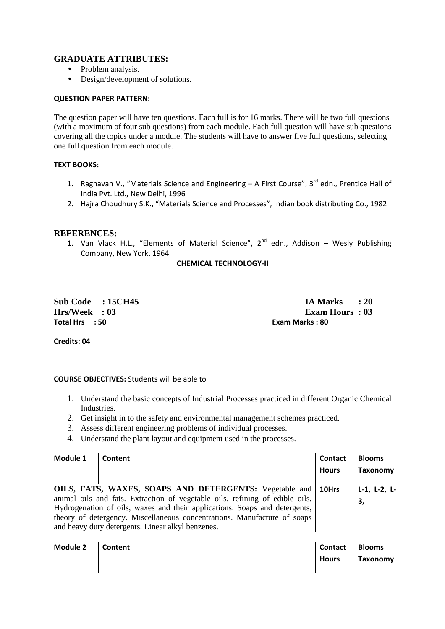### **GRADUATE ATTRIBUTES:**

- Problem analysis.
- Design/development of solutions.

#### **QUESTION PAPER PATTERN:**

The question paper will have ten questions. Each full is for 16 marks. There will be two full questions (with a maximum of four sub questions) from each module. Each full question will have sub questions covering all the topics under a module. The students will have to answer five full questions, selecting one full question from each module.

#### **TEXT BOOKS:**

- 1. Raghavan V., "Materials Science and Engineering  $-$  A First Course", 3<sup>rd</sup> edn., Prentice Hall of India Pvt. Ltd., New Delhi, 1996
- 2. Hajra Choudhury S.K., "Materials Science and Processes", Indian book distributing Co., 1982

### **REFERENCES:**

1. Van Vlack H.L., "Elements of Material Science",  $2^{nd}$  edn., Addison – Wesly Publishing Company, New York, 1964

**CHEMICAL TECHNOLOGY-II** 

**Total Hrs : 50 Exam Marks : 80** 

**Sub Code : 15CH45 IA Marks : 20 Hrs/Week : 03 Exam Hours : 03** 

**Credits: 04** 

#### **COURSE OBJECTIVES:** Students will be able to

- 1. Understand the basic concepts of Industrial Processes practiced in different Organic Chemical Industries.
- 2. Get insight in to the safety and environmental management schemes practiced.
- 3. Assess different engineering problems of individual processes.
- 4. Understand the plant layout and equipment used in the processes.

| Module 1 | Content                                                                                                                                                                                                                                                                                                                                               | Contact      | <b>Blooms</b>              |
|----------|-------------------------------------------------------------------------------------------------------------------------------------------------------------------------------------------------------------------------------------------------------------------------------------------------------------------------------------------------------|--------------|----------------------------|
|          |                                                                                                                                                                                                                                                                                                                                                       | <b>Hours</b> | <b>Taxonomy</b>            |
|          | OILS, FATS, WAXES, SOAPS AND DETERGENTS: Vegetable and<br>animal oils and fats. Extraction of vegetable oils, refining of edible oils.<br>Hydrogenation of oils, waxes and their applications. Soaps and detergents,<br>theory of detergency. Miscellaneous concentrations. Manufacture of soaps<br>and heavy duty detergents. Linear alkyl benzenes. | 10Hrs        | $L-1$ , $L-2$ , $L-$<br>3, |

| <b>Module 2</b> | Content | Contact      | <b>Blooms</b> |
|-----------------|---------|--------------|---------------|
|                 |         | <b>Hours</b> | Taxonomy      |
|                 |         |              |               |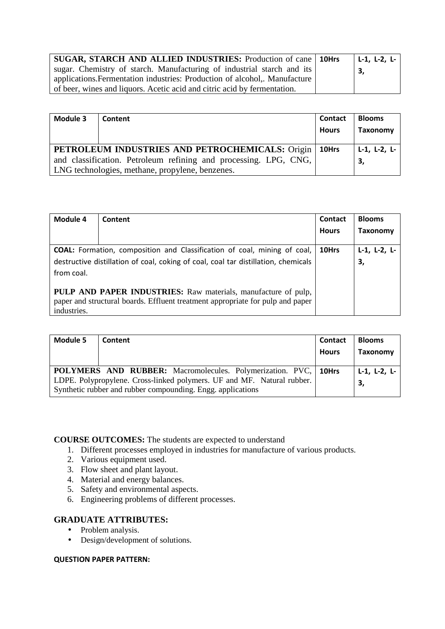| SUGAR, STARCH AND ALLIED INDUSTRIES: Production of cane   10Hrs           |  | $  L-1, L-2, L-$ |
|---------------------------------------------------------------------------|--|------------------|
| sugar. Chemistry of starch. Manufacturing of industrial starch and its    |  | -3,              |
| applications. Fermentation industries: Production of alcohol, Manufacture |  |                  |
| of beer, wines and liquors. Acetic acid and citric acid by fermentation.  |  |                  |

| Module 3                                                                                                            | Content | <b>Contact</b><br><b>Hours</b> | <b>Blooms</b><br><b>Taxonomy</b> |
|---------------------------------------------------------------------------------------------------------------------|---------|--------------------------------|----------------------------------|
| PETROLEUM INDUSTRIES AND PETROCHEMICALS: Origin                                                                     |         | 10Hrs                          | $L-1$ , $L-2$ , $L-$             |
| and classification. Petroleum refining and processing. LPG, CNG,<br>LNG technologies, methane, propylene, benzenes. |         |                                | 3,                               |

| Module 4    | Content                                                                                                                                                               | <b>Contact</b><br><b>Hours</b> | <b>Blooms</b><br><b>Taxonomy</b> |
|-------------|-----------------------------------------------------------------------------------------------------------------------------------------------------------------------|--------------------------------|----------------------------------|
| from coal.  | <b>COAL:</b> Formation, composition and Classification of coal, mining of coal,<br>destructive distillation of coal, coking of coal, coal tar distillation, chemicals | 10Hrs                          | $L-1$ , $L-2$ , $L-$<br>3,       |
| industries. | <b>PULP AND PAPER INDUSTRIES:</b> Raw materials, manufacture of pulp,<br>paper and structural boards. Effluent treatment appropriate for pulp and paper               |                                |                                  |

| Module 5 | Content                                                                                                                                                                                                  | <b>Contact</b><br><b>Hours</b> | <b>Blooms</b><br>Taxonomy  |
|----------|----------------------------------------------------------------------------------------------------------------------------------------------------------------------------------------------------------|--------------------------------|----------------------------|
|          | POLYMERS AND RUBBER: Macromolecules. Polymerization. PVC, 10Hrs<br>LDPE. Polypropylene. Cross-linked polymers. UF and MF. Natural rubber.<br>Synthetic rubber and rubber compounding. Engg. applications |                                | $L-1$ , $L-2$ , $L-$<br>3, |

**COURSE OUTCOMES:** The students are expected to understand

- 1. Different processes employed in industries for manufacture of various products.
- 2. Various equipment used.
- 3. Flow sheet and plant layout.
- 4. Material and energy balances.
- 5. Safety and environmental aspects.
- 6. Engineering problems of different processes.

## **GRADUATE ATTRIBUTES:**

- Problem analysis.
- Design/development of solutions.

#### **QUESTION PAPER PATTERN:**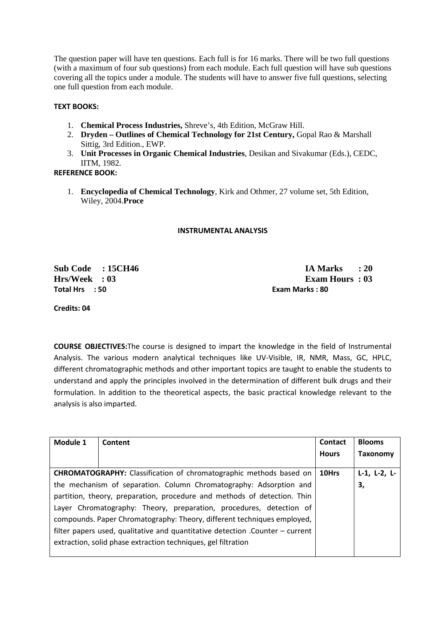The question paper will have ten questions. Each full is for 16 marks. There will be two full questions (with a maximum of four sub questions) from each module. Each full question will have sub questions covering all the topics under a module. The students will have to answer five full questions, selecting one full question from each module.

### **TEXT BOOKS:**

- 1. **Chemical Process Industries,** Shreve's, 4th Edition, McGraw Hill.
- 2. **Dryden Outlines of Chemical Technology for 21st Century,** Gopal Rao & Marshall Sittig, 3rd Edition., EWP.
- 3. **Unit Processes in Organic Chemical Industries**, Desikan and Sivakumar (Eds.), CEDC, IITM, 1982.

### **REFERENCE BOOK:**

1. **Encyclopedia of Chemical Technology**, Kirk and Othmer, 27 volume set, 5th Edition, Wiley, 2004.**Proce**

#### **INSTRUMENTAL ANALYSIS**

**Total Hrs : 50 Exam Marks : 80** 

**Sub Code : 15CH46 IA Marks : 20 Hrs/Week : 03 Exam Hours : 03** 

**Credits: 04** 

**COURSE OBJECTIVES:**The course is designed to impart the knowledge in the field of Instrumental Analysis. The various modern analytical techniques like UV-Visible, IR, NMR, Mass, GC, HPLC, different chromatographic methods and other important topics are taught to enable the students to understand and apply the principles involved in the determination of different bulk drugs and their formulation. In addition to the theoretical aspects, the basic practical knowledge relevant to the analysis is also imparted.

| Module 1 | Content                                                                        | Contact      | <b>Blooms</b>        |
|----------|--------------------------------------------------------------------------------|--------------|----------------------|
|          |                                                                                | <b>Hours</b> | <b>Taxonomy</b>      |
|          |                                                                                |              |                      |
|          | <b>CHROMATOGRAPHY:</b> Classification of chromatographic methods based on      | 10Hrs        | $L-1$ , $L-2$ , $L-$ |
|          | the mechanism of separation. Column Chromatography: Adsorption and             |              | 3,                   |
|          | partition, theory, preparation, procedure and methods of detection. Thin       |              |                      |
|          | Layer Chromatography: Theory, preparation, procedures, detection of            |              |                      |
|          | compounds. Paper Chromatography: Theory, different techniques employed,        |              |                      |
|          | filter papers used, qualitative and quantitative detection . Counter – current |              |                      |
|          | extraction, solid phase extraction techniques, gel filtration                  |              |                      |
|          |                                                                                |              |                      |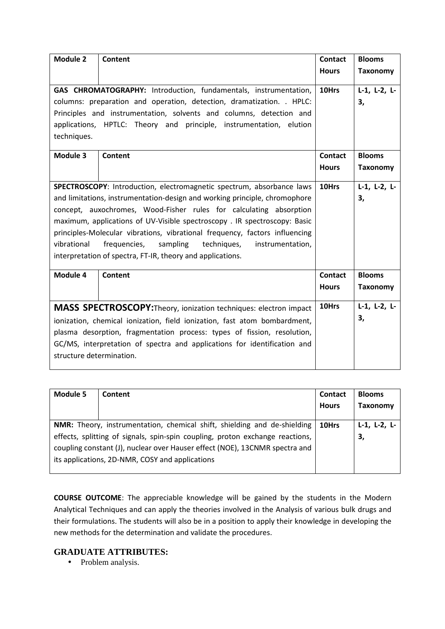| Module 2                                                                                                                                                                                                                                                                                                                                                                                                                                                                                                                          | <b>Content</b> | <b>Contact</b><br><b>Hours</b> | <b>Blooms</b><br><b>Taxonomy</b> |
|-----------------------------------------------------------------------------------------------------------------------------------------------------------------------------------------------------------------------------------------------------------------------------------------------------------------------------------------------------------------------------------------------------------------------------------------------------------------------------------------------------------------------------------|----------------|--------------------------------|----------------------------------|
| GAS CHROMATOGRAPHY: Introduction, fundamentals, instrumentation,<br>columns: preparation and operation, detection, dramatization. . HPLC:<br>Principles and instrumentation, solvents and columns, detection and<br>applications, HPTLC: Theory and principle, instrumentation, elution<br>techniques.                                                                                                                                                                                                                            |                | 10Hrs                          | $L-1$ , $L-2$ , $L-$<br>3,       |
| Module 3                                                                                                                                                                                                                                                                                                                                                                                                                                                                                                                          | <b>Content</b> | <b>Contact</b><br><b>Hours</b> | <b>Blooms</b><br><b>Taxonomy</b> |
| SPECTROSCOPY: Introduction, electromagnetic spectrum, absorbance laws<br>and limitations, instrumentation-design and working principle, chromophore<br>concept, auxochromes, Wood-Fisher rules for calculating absorption<br>maximum, applications of UV-Visible spectroscopy . IR spectroscopy: Basic<br>principles-Molecular vibrations, vibrational frequency, factors influencing<br>frequencies,<br>sampling<br>vibrational<br>techniques,<br>instrumentation,<br>interpretation of spectra, FT-IR, theory and applications. |                | 10Hrs                          | $L-1$ , $L-2$ , $L-$<br>3,       |
| Module 4                                                                                                                                                                                                                                                                                                                                                                                                                                                                                                                          | Content        | <b>Contact</b><br><b>Hours</b> | <b>Blooms</b><br><b>Taxonomy</b> |
| MASS SPECTROSCOPY: Theory, ionization techniques: electron impact<br>ionization, chemical ionization, field ionization, fast atom bombardment,<br>plasma desorption, fragmentation process: types of fission, resolution,<br>GC/MS, interpretation of spectra and applications for identification and<br>structure determination.                                                                                                                                                                                                 |                | 10Hrs                          | $L-1$ , $L-2$ , $L-$<br>3,       |

| <b>Module 5</b> | Content                                                                       | <b>Contact</b><br><b>Hours</b> | <b>Blooms</b><br><b>Taxonomy</b> |
|-----------------|-------------------------------------------------------------------------------|--------------------------------|----------------------------------|
|                 | NMR: Theory, instrumentation, chemical shift, shielding and de-shielding      | 10Hrs                          | $L-1$ , $L-2$ , $L-$             |
|                 | effects, splitting of signals, spin-spin coupling, proton exchange reactions, |                                | 3,                               |
|                 | coupling constant (J), nuclear over Hauser effect (NOE), 13CNMR spectra and   |                                |                                  |
|                 | its applications, 2D-NMR, COSY and applications                               |                                |                                  |

**COURSE OUTCOME**: The appreciable knowledge will be gained by the students in the Modern Analytical Techniques and can apply the theories involved in the Analysis of various bulk drugs and their formulations. The students will also be in a position to apply their knowledge in developing the new methods for the determination and validate the procedures.

### **GRADUATE ATTRIBUTES:**

• Problem analysis.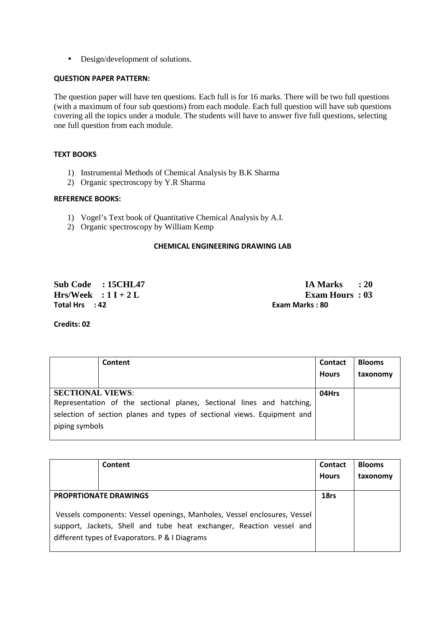• Design/development of solutions.

### **QUESTION PAPER PATTERN:**

The question paper will have ten questions. Each full is for 16 marks. There will be two full questions (with a maximum of four sub questions) from each module. Each full question will have sub questions covering all the topics under a module. The students will have to answer five full questions, selecting one full question from each module.

#### **TEXT BOOKS**

- 1) Instrumental Methods of Chemical Analysis by B.K Sharma
- 2) Organic spectroscopy by Y.R Sharma

#### **REFERENCE BOOKS:**

- 1) Vogel's Text book of Quantitative Chemical Analysis by A.I.
- 2) Organic spectroscopy by William Kemp

#### **CHEMICAL ENGINEERING DRAWING LAB**

**Total Hrs : 42 Exam Marks : 80** 

**Sub Code : 15CHL47 IA Marks : 20 Hrs/Week : 1 I + 2 L Exam Hours : 03** 

**Credits: 02** 

|                         | Content                                                                 | <b>Contact</b><br><b>Hours</b> | <b>Blooms</b><br>taxonomy |
|-------------------------|-------------------------------------------------------------------------|--------------------------------|---------------------------|
|                         |                                                                         |                                |                           |
| <b>SECTIONAL VIEWS:</b> |                                                                         | 04Hrs                          |                           |
|                         | Representation of the sectional planes, Sectional lines and hatching,   |                                |                           |
|                         | selection of section planes and types of sectional views. Equipment and |                                |                           |
| piping symbols          |                                                                         |                                |                           |
|                         |                                                                         |                                |                           |

| Content                                                                                                                                                                                            | <b>Contact</b><br><b>Hours</b> | <b>Blooms</b><br>taxonomy |
|----------------------------------------------------------------------------------------------------------------------------------------------------------------------------------------------------|--------------------------------|---------------------------|
| <b>PROPRTIONATE DRAWINGS</b>                                                                                                                                                                       | 18rs                           |                           |
| Vessels components: Vessel openings, Manholes, Vessel enclosures, Vessel<br>support, Jackets, Shell and tube heat exchanger, Reaction vessel and<br>different types of Evaporators. P & I Diagrams |                                |                           |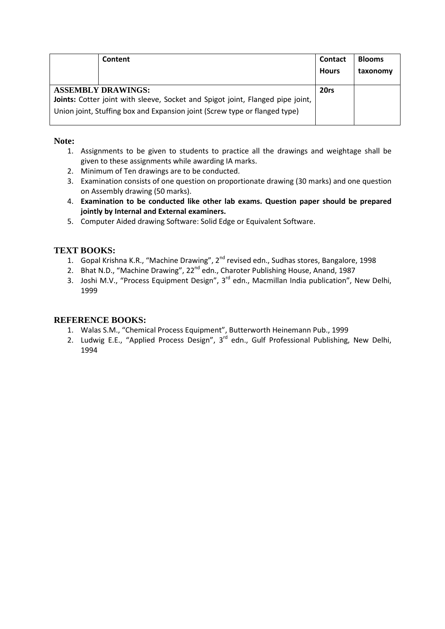| Content                                                                                                                                                                                   | <b>Contact</b> | <b>Blooms</b> |
|-------------------------------------------------------------------------------------------------------------------------------------------------------------------------------------------|----------------|---------------|
|                                                                                                                                                                                           | <b>Hours</b>   | taxonomy      |
| <b>ASSEMBLY DRAWINGS:</b><br>Joints: Cotter joint with sleeve, Socket and Spigot joint, Flanged pipe joint,<br>Union joint, Stuffing box and Expansion joint (Screw type or flanged type) | 20rs           |               |

### **Note:**

- 1. Assignments to be given to students to practice all the drawings and weightage shall be given to these assignments while awarding IA marks.
- 2. Minimum of Ten drawings are to be conducted.
- 3. Examination consists of one question on proportionate drawing (30 marks) and one question on Assembly drawing (50 marks).
- 4. **Examination to be conducted like other lab exams. Question paper should be prepared jointly by Internal and External examiners.**
- 5. Computer Aided drawing Software: Solid Edge or Equivalent Software.

# **TEXT BOOKS:**

- 1. Gopal Krishna K.R., "Machine Drawing", 2<sup>nd</sup> revised edn., Sudhas stores, Bangalore, 1998
- 2. Bhat N.D., "Machine Drawing", 22<sup>nd</sup> edn., Charoter Publishing House, Anand, 1987
- 3. Joshi M.V., "Process Equipment Design", 3<sup>rd</sup> edn., Macmillan India publication", New Delhi, 1999

### **REFERENCE BOOKS:**

- 1. Walas S.M., "Chemical Process Equipment", Butterworth Heinemann Pub., 1999
- 2. Ludwig E.E., "Applied Process Design", 3<sup>rd</sup> edn., Gulf Professional Publishing, New Delhi, 1994